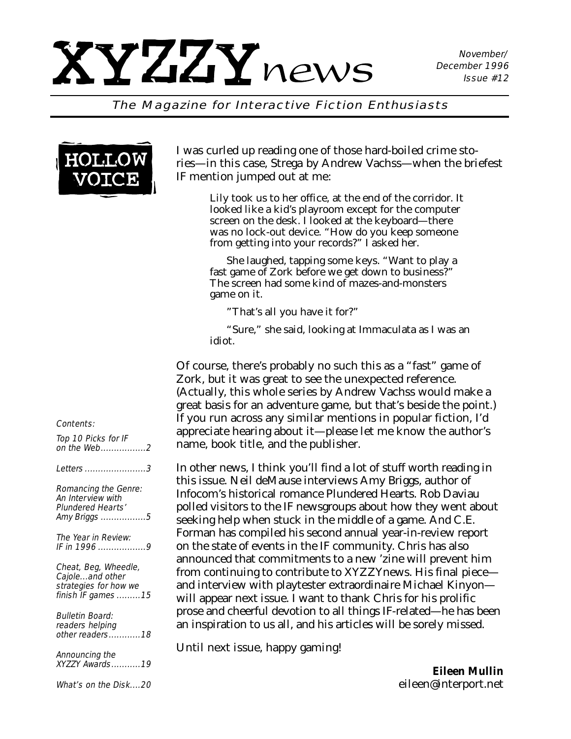#### The Magazine for Interactive Fiction Enthusiasts



#### Contents:

| Top 10 Picks for IF<br>on the Web2                                                     |
|----------------------------------------------------------------------------------------|
| <i>Letters 3</i>                                                                       |
| Romancing the Genre:<br>An Interview with<br><b>Plundered Hearts'</b><br>Amy Briggs 5  |
| The Year in Review:<br>IF in 1996 9                                                    |
| Cheat, Beg, Wheedle,<br>Cajoleand other<br>strategies for how we<br>finish IF games 15 |
| <b>Bulletin Board:</b><br>readers helping<br>other readers18                           |
| Announcing the<br>XYZZY Awards19                                                       |

What's on the Disk....20

I was curled up reading one of those hard-boiled crime stories—in this case, *Strega* by Andrew Vachss—when the briefest IF mention jumped out at me:

> Lily took us to her office, at the end of the corridor. It looked like a kid's playroom except for the computer screen on the desk. I looked at the keyboard—there was no lock-out device. "How do you keep someone from getting into your records?" I asked her.

She laughed, tapping some keys. "Want to play a fast game of Zork before we get down to business?" The screen had some kind of mazes-and-monsters game on it.

"That's all you have it for?"

"Sure," she said, looking at Immaculata as I was an idiot.

Of course, there's probably no such this as a "fast" game of Zork, but it was great to see the unexpected reference. (Actually, this whole series by Andrew Vachss would make a great basis for an adventure game, but that's beside the point.) If you run across any similar mentions in popular fiction, I'd appreciate hearing about it—please let me know the author's name, book title, and the publisher.

In other news, I think you'll find a lot of stuff worth reading in this issue. Neil deMause interviews Amy Briggs, author of Infocom's historical romance Plundered Hearts. Rob Daviau polled visitors to the IF newsgroups about how they went about seeking help when stuck in the middle of a game. And C.E. Forman has compiled his second annual year-in-review report on the state of events in the IF community. Chris has also announced that commitments to a new 'zine will prevent him from continuing to contribute to *XYZZYnews.* His final piece and interview with playtester extraordinaire Michael Kinyon will appear next issue. I want to thank Chris for his prolific prose and cheerful devotion to all things IF-related—he has been an inspiration to us all, and his articles will be sorely missed.

Until next issue, happy gaming!

*Eileen Mullin eileen@interport.net*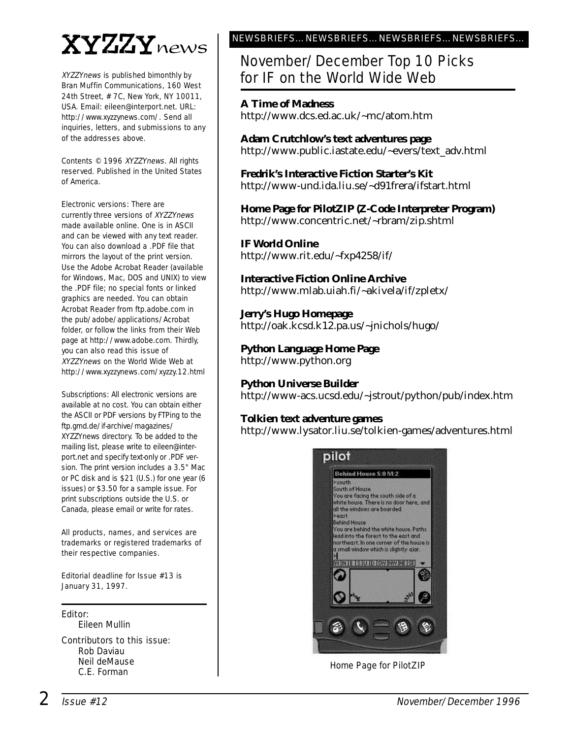# XYZZYnews

XYZZYnews is published bimonthly by Bran Muffin Communications, 160 West 24th Street, # 7C, New York, NY 10011, USA. Email: eileen@interport.net. URL: http://www.xyzzynews.com/. Send all inquiries, letters, and submissions to any of the addresses above.

Contents © 1996 XYZZYnews. All rights reserved. Published in the United States of America.

Electronic versions: There are currently three versions of XYZZYnews made available online. One is in ASCII and can be viewed with any text reader. You can also download a .PDF file that mirrors the layout of the print version. Use the Adobe Acrobat Reader (available for Windows, Mac, DOS and UNIX) to view the .PDF file; no special fonts or linked graphics are needed. You can obtain Acrobat Reader from ftp.adobe.com in the pub/adobe/applications/Acrobat folder, or follow the links from their Web page at http://www.adobe.com. Thirdly, you can also read this issue of XYZZYnews on the World Wide Web at http://www.xyzzynews.com/xyzzy.12.html

Subscriptions: All electronic versions are available at no cost. You can obtain either the ASCII or PDF versions by FTPing to the ftp.gmd.de/if-archive/magazines/ XYZZYnews directory. To be added to the mailing list, please write to eileen@interport.net and specify text-only or .PDF version. The print version includes a 3.5" Mac or PC disk and is \$21 (U.S.) for one year (6 issues) or \$3.50 for a sample issue. For print subscriptions outside the U.S. or Canada, please email or write for rates.

All products, names, and ser vices are trademarks or registered trademarks of their respective companies.

Editorial deadline for Issue #13 is January 31, 1997.

Editor:

Eileen Mullin

Contributors to this issue: Rob Daviau Neil deMause C.E. Forman

#### NEWSBRIEFS…NEWSBRIEFS…NEWSBRIEFS…NEWSBRIEFS…

### November/December Top 10 Picks for IF on the World Wide Web

#### **A Time of Madness**

http://www.dcs.ed.ac.uk/~mc/atom.htm

**Adam Crutchlow's text adventures page** http://www.public.iastate.edu/~evers/text\_adv.html

**Fredrik's Interactive Fiction Starter's Kit** http://www-und.ida.liu.se/~d91frera/ifstart.html

**Home Page for PilotZIP (Z-Code Interpreter Program)** http://www.concentric.net/~rbram/zip.shtml

**IF World Online**

http://www.rit.edu/~fxp4258/if/

**Interactive Fiction Online Archive** http://www.mlab.uiah.fi/~akivela/if/zpletx/

**Jerry's Hugo Homepage** http://oak.kcsd.k12.pa.us/~jnichols/hugo/

**Python Language Home Page** http://www.python.org

#### **Python Universe Builder**

http://www-acs.ucsd.edu/~jstrout/python/pub/index.htm

#### **Tolkien text adventure games**

http://www.lysator.liu.se/tolkien-games/adventures.html



Home Page for PilotZIP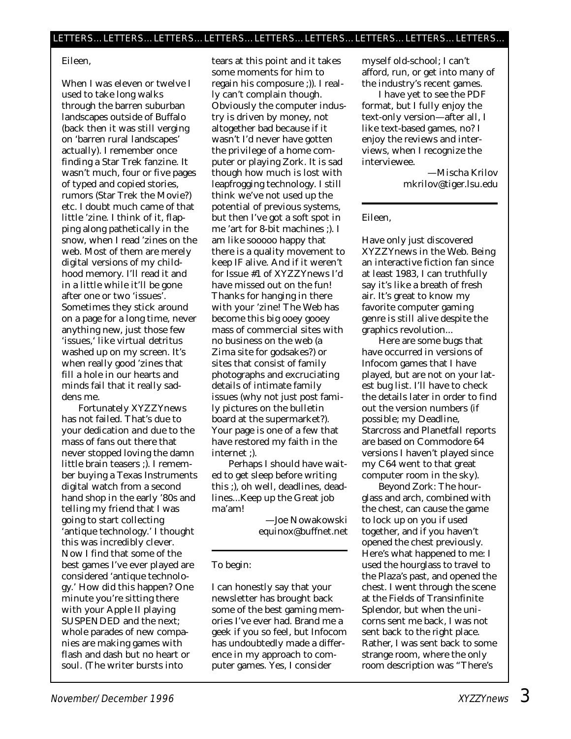#### Eileen,

When I was eleven or twelve I used to take long walks through the barren suburban landscapes outside of Buffalo (back then it was still verging on 'barren rural landscapes' actually). I remember once finding a Star Trek fanzine. It wasn't much, four or five pages of typed and copied stories, rumors (Star Trek the Movie?) etc. I doubt much came of that little 'zine. I think of it, flapping along pathetically in the snow, when I read 'zines on the web. Most of them are merely digital versions of my childhood memory. I'll read it and in a little while it'll be gone after one or two 'issues'. Sometimes they stick around on a page for a long time, never anything new, just those few 'issues,' like virtual detritus washed up on my screen. It's when really good 'zines that fill a hole in our hearts and minds fail that it really saddens me.

Fortunately *XYZZYnews* has *not* failed. That's due to your dedication *and* due to the mass of fans out there that never stopped loving the damn little brain teasers ;). I remember buying a Texas Instruments digital watch from a second hand shop in the early '80s and telling my friend that I was going to start collecting 'antique technology.' I thought this was incredibly clever. Now I find that some of the best games I've ever played are considered 'antique technology.' How did this happen? One minute you're sitting there with your Apple II playing SUSPENDED and the next; whole parades of new companies are making games with flash and dash but no heart or soul. (The writer bursts into

tears at this point and it takes some moments for him to regain his composure ;)). I really can't complain though. Obviously the computer industry is driven by money, not altogether bad because if it wasn't I'd never have gotten the privilege of a home computer or playing Zork. It *is* sad though how much is lost with leapfrogging technology. I still think we've not used up the potential of previous systems, but then I've got a soft spot in me 'art for 8-bit machines ;). I am like *sooooo* happy that there is a quality movement to keep IF alive. And if it weren't for Issue #1 of *XYZZYnews* I'd have missed out on the fun! Thanks for hanging in there with your 'zine! The Web has become this big ooey gooey mass of commercial sites with no business on the web (a Zima site for godsakes?) or sites that consist of family photographs and excruciating details of intimate family issues (why not just post family pictures on the bulletin board at the supermarket?). Your page is one of a few that have restored my faith in the internet ;).

Perhaps I should have waited to get sleep before writing this ;), oh well, deadlines, deadlines...Keep up the Great job ma'am!

> —Joe Nowakowski equinox@buffnet.net

#### To begin:

I can honestly say that your newsletter has brought back some of the best gaming memories I've ever had. Brand me a geek if you so feel, but Infocom has undoubtedly made a difference in my approach to computer games. Yes, I consider

myself old-school; I can't afford, run, or get into many of the industry's recent games.

I have yet to see the PDF format, but I fully enjoy the text-only version—after all, I like text-based games, no? I enjoy the reviews and interviews, when I recognize the interviewee.

> —Mischa Krilov mkrilov@tiger.lsu.edu

#### Eileen,

Have only just discovered *XYZZYnews* in the Web. Being an interactive fiction fan since at least 1983, I can truthfully say it's like a breath of fresh air. It's great to know my favorite computer gaming genre is still alive despite the graphics revolution...

Here are some bugs that have occurred in versions of Infocom games that I have played, but are not on your latest bug list. I'll have to check the details later in order to find out the version numbers (if possible; my Deadline, Starcross and Planetfall reports are based on Commodore 64 versions I haven't played since my C64 went to that great computer room in the sky).

Beyond Zork: The hourglass and arch, combined with the chest, can cause the game to lock up on you if used together, and if you haven't opened the chest previously. Here's what happened to me: I used the hourglass to travel to the Plaza's past, and opened the chest. I went through the scene at the Fields of Transinfinite Splendor, but when the unicorns sent me back, I was not sent back to the right place. Rather, I was sent back to some strange room, where the only room description was "There's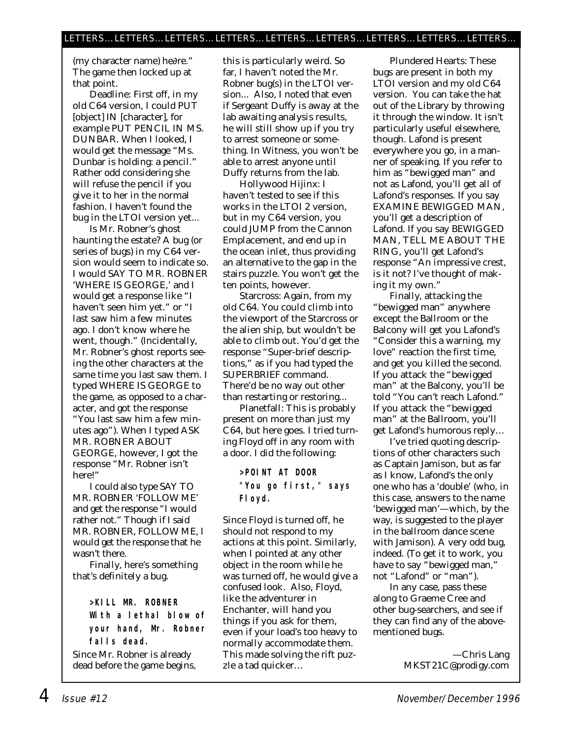(my character name) he∂re." The game then locked up at that point.

Deadline: First off, in my old C64 version, I could PUT [object] IN [character], for example PUT PENCIL IN MS. DUNBAR. When I looked, I would get the message "Ms. Dunbar is holding: a pencil." Rather odd considering she will refuse the pencil if you give it to her in the normal fashion. I haven't found the bug in the LTOI version yet...

Is Mr. Robner's ghost haunting the estate? A bug (or series of bugs) in my C64 version would seem to indicate so. I would SAY TO MR. ROBNER 'WHERE IS GEORGE,' and I would get a response like "I haven't seen him yet." or "I last saw him a few minutes ago. I don't know where he went, though." (Incidentally, Mr. Robner's ghost reports seeing the other characters at the same time you last saw them. I typed WHERE IS GEORGE to the game, as opposed to a character, and got the response "You last saw him a few minutes ago"). When I typed ASK MR. ROBNER ABOUT GEORGE, however, I got the response "Mr. Robner isn't here!"

I could also type SAY TO MR. ROBNER 'FOLLOW ME' and get the response "I would rather not." Though if I said MR. ROBNER, FOLLOW ME, I would get the response that he wasn't there.

Finally, here's something that's definitely a bug.

> **>KILL MR. ROBNER With a lethal blow of your hand, Mr. Robner falls dead.**

Since Mr. Robner is already dead before the game begins, this is particularly weird. So far, I haven't noted the Mr. Robner bug(s) in the LTOI version... Also, I noted that even if Sergeant Duffy is away at the lab awaiting analysis results, he will still show up if you try to arrest someone or something. In Witness, you won't be able to arrest anyone until Duffy returns from the lab.

Hollywood Hijinx: I haven't tested to see if this works in the LTOI 2 version, but in my C64 version, you could JUMP from the Cannon Emplacement, and end up in the ocean inlet, thus providing an alternative to the gap in the stairs puzzle. You won't get the ten points, however.

Starcross: Again, from my old C64. You could climb into the viewport of the Starcross or the alien ship, but wouldn't be able to climb out. You'd get the response "Super-brief descriptions," as if you had typed the SUPERBRIEF command. There'd be no way out other than restarting or restoring...

Planetfall: This is probably present on more than just my C64, but here goes. I tried turning Floyd off in any room with a door. I did the following:

> **>POINT AT DOOR "You go first," says Floyd.**

Since Floyd is turned off, he should not respond to my actions at this point. Similarly, when I pointed at any other object in the room while he was turned off, he would give a confused look. Also, Floyd, like the adventurer in Enchanter, will hand you things if you ask for them, even if your load's too heavy to normally accommodate them. This made solving the rift puzzle a tad quicker…

Plundered Hearts: These bugs are present in both my LTOI version and my old C64 version. You can take the hat out of the Library by throwing it through the window. It isn't particularly useful elsewhere, though. Lafond is present everywhere you go, in a manner of speaking. If you refer to him as "bewigged man" and not as Lafond, you'll get all of Lafond's responses. If you say EXAMINE BEWIGGED MAN, you'll get a description of Lafond. If you say BEWIGGED MAN, TELL ME ABOUT THE RING, you'll get Lafond's response "An impressive crest, is it not? I've thought of making it my own."

Finally, attacking the "bewigged man" anywhere except the Ballroom or the Balcony will get you Lafond's "Consider this a warning, my love" reaction the first time, and get you killed the second. If you attack the "bewigged man" at the Balcony, you'll be told "You can't reach Lafond." If you attack the "bewigged man" at the Ballroom, you'll get Lafond's humorous reply…

I've tried quoting descriptions of other characters such as Captain Jamison, but as far as I know, Lafond's the only one who has a 'double' (who, in this case, answers to the name 'bewigged man'—which, by the way, is suggested to the player in the ballroom dance scene with Jamison). A very odd bug, indeed. (To get it to work, you have to say "bewigged man," not "Lafond" or "man").

In any case, pass these along to Graeme Cree and other bug-searchers, and see if they can find any of the abovementioned bugs.

> —Chris Lang MKST21C@prodigy.com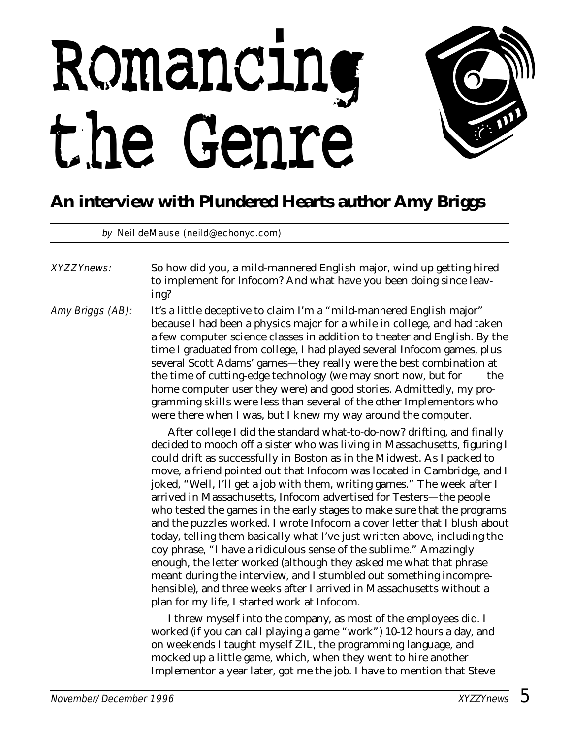# Romancing the Genre



## **An interview with Plundered Hearts author Amy Briggs**

by Neil deMause (neild@echonyc.com)

XYZZYnews: So how did you, a mild-mannered English major, wind up getting hired to implement for Infocom? And what have you been doing since leaving? Amy Briggs (AB): It's a little deceptive to claim I'm a "mild-mannered English major" because I had been a physics major for a while in college, and had taken a few computer science classes in addition to theater and English. By the time I graduated from college, I had played several Infocom games, plus several Scott Adams' games—they really were the best combination at the time of cutting-edge technology (we may snort now, but for the home computer user they were) and good stories. Admittedly, my programming skills were less than several of the other Implementors who were there when I was, but I knew my way around the computer. After college I did the standard what-to-do-now? drifting, and finally decided to mooch off a sister who was living in Massachusetts, figuring I could drift as successfully in Boston as in the Midwest. As I packed to move, a friend pointed out that Infocom was located in Cambridge, and I

joked, "Well, I'll get a job with them, writing games." The week after I arrived in Massachusetts, Infocom advertised for Testers—the people who tested the games in the early stages to make sure that the programs and the puzzles worked. I wrote Infocom a cover letter that I blush about today, telling them basically what I've just written above, including the coy phrase, "I have a ridiculous sense of the sublime." Amazingly enough, the letter worked (although they asked me what that phrase meant during the interview, and I stumbled out something incomprehensible), and three weeks after I arrived in Massachusetts without a plan for my life, I started work at Infocom.

I threw myself into the company, as most of the employees did. I worked (if you can call playing a game "work") 10-12 hours a day, and on weekends I taught myself ZIL, the programming language, and mocked up a little game, which, when they went to hire another Implementor a year later, got me the job. I have to mention that Steve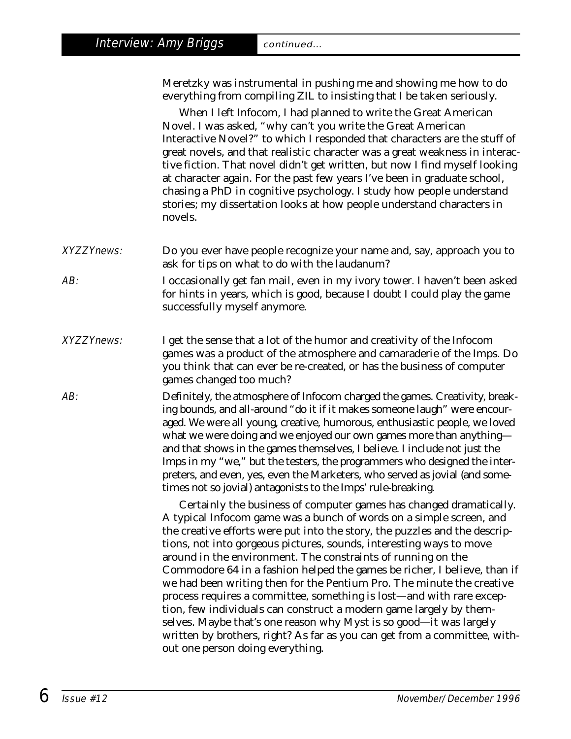Meretzky was instrumental in pushing me and showing me how to do everything from compiling ZIL to insisting that I be taken seriously.

When I left Infocom, I had planned to write the Great American Novel. I was asked, "why can't you write the Great American Interactive Novel?" to which I responded that characters are the stuff of great novels, and that realistic character was a great weakness in interactive fiction. That novel didn't get written, but now I find myself looking at character again. For the past few years I've been in graduate school, chasing a PhD in cognitive psychology. I study how people understand stories; my dissertation looks at how people understand characters in novels.

- XYZZYnews: Do you ever have people recognize your name and, say, approach you to ask for tips on what to do with the laudanum?
- AB: I occasionally get fan mail, even in my ivory tower. I haven't been asked for hints in years, which is good, because I doubt I could play the game successfully myself anymore.
- XYZZYnews: I get the sense that a lot of the humor and creativity of the Infocom games was a product of the atmosphere and camaraderie of the Imps. Do you think that can ever be re-created, or has the business of computer games changed too much?
- AB: Definitely, the atmosphere of Infocom charged the games. Creativity, breaking bounds, and all-around "do it if it makes someone laugh" were encouraged. We were all young, creative, humorous, enthusiastic people, we loved what we were doing and we enjoyed our own games more than anything and that shows in the games themselves, I believe. I include not just the Imps in my "we," but the testers, the programmers who designed the interpreters, and even, yes, even the Marketers, who served as jovial (and sometimes not so jovial) antagonists to the Imps' rule-breaking.

Certainly the business of computer games has changed dramatically. A typical Infocom game was a bunch of words on a simple screen, and the creative efforts were put into the story, the puzzles and the descriptions, not into gorgeous pictures, sounds, interesting ways to move around in the environment. The constraints of running on the Commodore 64 in a fashion helped the games be richer, I believe, than if we had been writing then for the Pentium Pro. The minute the creative process requires a committee, something is lost—and with rare exception, few individuals can construct a modern game largely by themselves. Maybe that's one reason why Myst is so good—it was largely written by brothers, right? As far as you can get from a committee, without one person doing everything.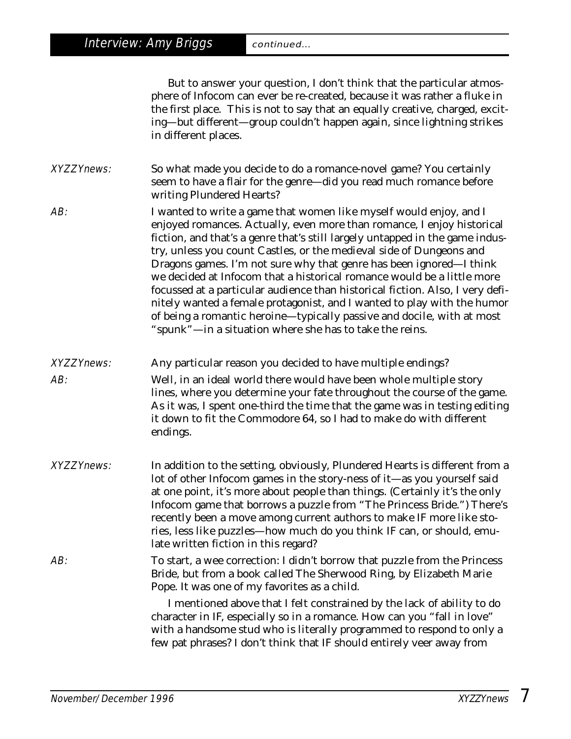Interview: Amy Briggs continued...

endings.

But to answer your question, I don't think that the particular atmosphere of Infocom can ever be re-created, because it was rather a fluke in the first place. This is not to say that an equally creative, charged, exciting—but different—group couldn't happen again, since lightning strikes in different places.

XYZZYnews: So what made you decide to do a romance-novel game? You certainly seem to have a flair for the genre—did you read much romance before writing Plundered Hearts?

AB: I wanted to write a game that women like myself would enjoy, and I enjoyed romances. Actually, even more than romance, I enjoy historical fiction, and that's a genre that's still largely untapped in the game industry, unless you count Castles, or the medieval side of Dungeons and Dragons games. I'm not sure why that genre has been ignored—I think we decided at Infocom that a historical romance would be a little more focussed at a particular audience than historical fiction. Also, I very definitely wanted a female protagonist, and I wanted to play with the humor of being a romantic heroine—typically passive and docile, with at most "spunk"—in a situation where she has to take the reins.

- XYZZYnews: Any particular reason you decided to have multiple endings? AB: Well, in an ideal world there would have been whole multiple story *lines*, where you determine your fate throughout the course of the game. As it was, I spent one-third the time that the game was in testing editing it down to fit the Commodore 64, so I had to make do with different
- XYZZYnews: In addition to the setting, obviously, Plundered Hearts is different from a lot of other Infocom games in the story-ness of it—as you yourself said at one point, it's more about people than things. (Certainly it's the only Infocom game that borrows a puzzle from "The Princess Bride.") There's recently been a move among current authors to make IF more like stories, less like puzzles—how much do you think IF can, or should, emulate written fiction in this regard?

AB: To start, a wee correction: I didn't borrow that puzzle from the Princess Bride, but from a book called *The Sherwood Ring,* by Elizabeth Marie Pope. It was one of my favorites as a child.

> I mentioned above that I felt constrained by the lack of ability to do character in IF, especially so in a romance. How can you "fall in love" with a handsome stud who is literally programmed to respond to only a few pat phrases? I don't think that IF should entirely veer away from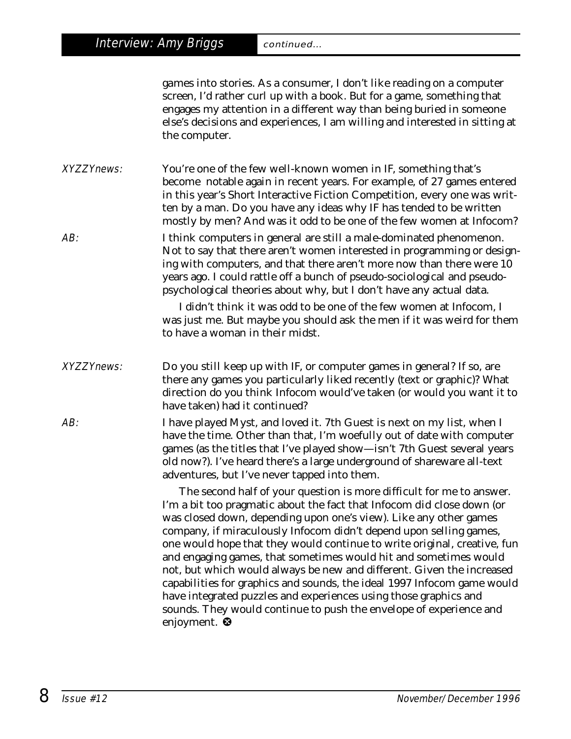*games* into *stories*. As a consumer, I don't like *reading* on a computer screen, I'd rather curl up with a book. But for a game, something that engages my attention in a different way than being buried in someone else's decisions and experiences, I am willing and interested in sitting at the computer.

XYZZYnews: You're one of the few well-known women in IF, something that's become notable again in recent years. For example, of 27 games entered in this year's Short Interactive Fiction Competition, every one was written by a man. Do you have any ideas why IF has tended to be written mostly by men? And was it odd to be one of the few women at Infocom?

AB: I think computers in general are still a male-dominated phenomenon. Not to say that there aren't women interested in programming or designing with computers, and that there aren't more now than there were 10 years ago. I could rattle off a bunch of pseudo-sociological and pseudopsychological theories about why, but I don't have any actual data.

> I didn't think it was odd to be one of the few women at Infocom, I was just me. But maybe you should ask the men if it was weird for them to have a woman in their midst.

XYZZYnews: Do you still keep up with IF, or computer games in general? If so, are there any games you particularly liked recently (text or graphic)? What direction do you think Infocom would've taken (or would you want it to have taken) had it continued?

AB: I have played Myst, and loved it. 7th Guest is next on my list, when I have the time. Other than that, I'm woefully out of date with computer games (as the titles that I've played show—isn't 7th Guest several years old now?). I've heard there's a large underground of shareware all-text adventures, but I've never tapped into them.

> The second half of your question is more difficult for me to answer. I'm a bit too pragmatic about the fact that Infocom *did* close down (or was closed down, depending upon one's view). Like any other games company, if miraculously Infocom didn't depend upon selling games, one would hope that they would continue to write original, creative, fun and engaging games, that sometimes would *hit* and sometimes would not, but which would always be new and different. Given the increased capabilities for graphics and sounds, the ideal 1997 Infocom game would have integrated puzzles and experiences using those graphics and sounds. They would continue to push the envelope of experience and enjoyment. <sup>®</sup>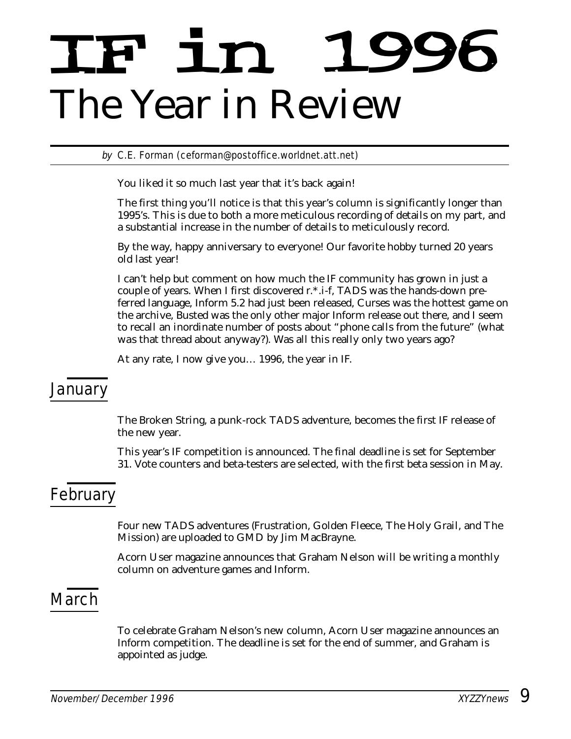# IF in 1996 *The Year in Review*

by C.E. Forman (ceforman@postoffice.worldnet.att.net)

You liked it so much last year that it's back again!

The first thing you'll notice is that this year's column is significantly longer than 1995's. This is due to both a more meticulous recording of details on my part, and a substantial increase in the number of details to meticulously record.

By the way, happy anniversary to everyone! Our favorite hobby turned 20 years old last year!

I can't help but comment on how much the IF community has grown in just a couple of years. When I first discovered r.\*.i-f, TADS was the hands-down preferred language, Inform 5.2 had just been released, Curses was the hottest game on the archive, Busted was the only other major Inform release out there, and I seem to recall an inordinate number of posts about "phone calls from the future" (what *was* that thread about anyway?). Was all this really only two years ago?

At any rate, I now give you… 1996, the year in IF.

### January

The Broken String, a punk-rock TADS adventure, becomes the first IF release of the new year.

This year's IF competition is announced. The final deadline is set for September 31. Vote counters and beta-testers are selected, with the first beta session in May.

## February

Four new TADS adventures (Frustration, Golden Fleece, The Holy Grail, and The Mission) are uploaded to GMD by Jim MacBrayne.

*Acorn User* magazine announces that Graham Nelson will be writing a monthly column on adventure games and Inform.

## **March**

To celebrate Graham Nelson's new column, *Acorn User* magazine announces an Inform competition. The deadline is set for the end of summer, and Graham is appointed as judge.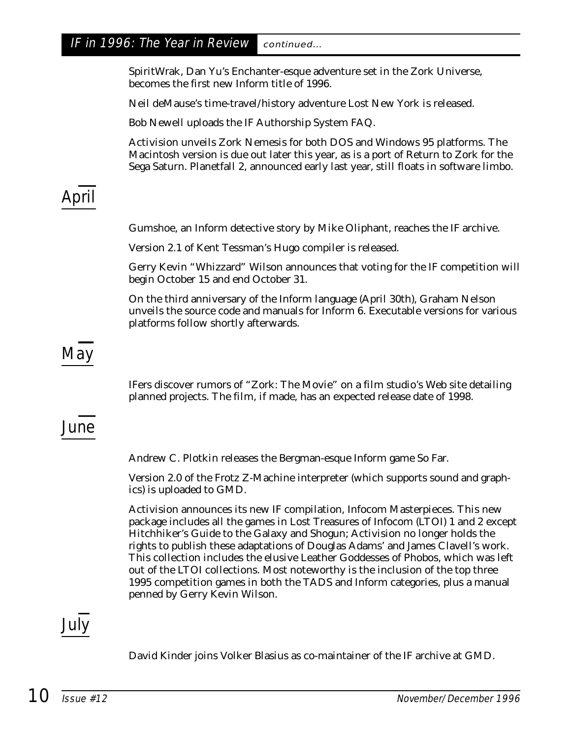#### IF in 1996: The Year in Review continued...

SpiritWrak, Dan Yu's Enchanter-esque adventure set in the Zork Universe, becomes the first new Inform title of 1996.

Neil deMause's time-travel/history adventure Lost New York is released.

Bob Newell uploads the IF Authorship System FAQ.

Activision unveils Zork Nemesis for both DOS and Windows 95 platforms. The Macintosh version is due out later this year, as is a port of Return to Zork for the Sega Saturn. Planetfall 2, announced early last year, still floats in software limbo.

# April

Gumshoe, an Inform detective story by Mike Oliphant, reaches the IF archive.

Version 2.1 of Kent Tessman's Hugo compiler is released.

Gerry Kevin "Whizzard" Wilson announces that voting for the IF competition will begin October 15 and end October 31.

On the third anniversary of the Inform language (April 30th), Graham Nelson unveils the source code and manuals for Inform 6. Executable versions for various platforms follow shortly afterwards.

## May

IFers discover rumors of "Zork: The Movie" on a film studio's Web site detailing planned projects. The film, if made, has an expected release date of 1998.

## June

Andrew C. Plotkin releases the Bergman-esque Inform game So Far.

Version 2.0 of the Frotz Z-Machine interpreter (which supports sound and graphics) is uploaded to GMD.

Activision announces its new IF compilation, Infocom Masterpieces. This new package includes all the games in Lost Treasures of Infocom (LTOI) 1 and 2 except Hitchhiker's Guide to the Galaxy and Shogun; Activision no longer holds the rights to publish these adaptations of Douglas Adams' and James Clavell's work. This collection includes the elusive Leather Goddesses of Phobos, which was left out of the LTOI collections. Most noteworthy is the inclusion of the top three 1995 competition games in both the TADS and Inform categories, plus a manual penned by Gerry Kevin Wilson.

## July

David Kinder joins Volker Blasius as co-maintainer of the IF archive at GMD.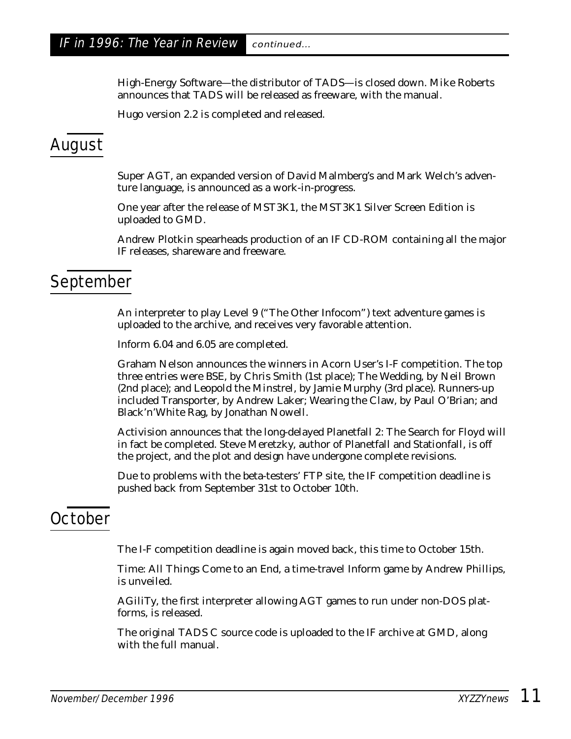High-Energy Software—the distributor of TADS—is closed down. Mike Roberts announces that TADS will be released as freeware, with the manual.

Hugo version 2.2 is completed and released.

## August

Super AGT, an expanded version of David Malmberg's and Mark Welch's adventure language, is announced as a work-in-progress.

One year after the release of MST3K1, the MST3K1 Silver Screen Edition is uploaded to GMD.

Andrew Plotkin spearheads production of an IF CD-ROM containing all the major IF releases, shareware and freeware.

### September

An interpreter to play Level 9 ("The Other Infocom") text adventure games is uploaded to the archive, and receives very favorable attention.

Inform 6.04 and 6.05 are completed.

Graham Nelson announces the winners in Acorn User's I-F competition. The top three entries were BSE, by Chris Smith (1st place); The Wedding, by Neil Brown (2nd place); and Leopold the Minstrel, by Jamie Murphy (3rd place). Runners-up included Transporter, by Andrew Laker; Wearing the Claw, by Paul O'Brian; and Black'n'White Rag, by Jonathan Nowell.

Activision announces that the long-delayed Planetfall 2: The Search for Floyd will in fact be completed. Steve Meretzky, author of Planetfall and Stationfall, is off the project, and the plot and design have undergone complete revisions.

Due to problems with the beta-testers' FTP site, the IF competition deadline is pushed back from September 31st to October 10th.

## **October**

The I-F competition deadline is again moved back, this time to October 15th.

Time: All Things Come to an End, a time-travel Inform game by Andrew Phillips, is unveiled.

AGiliTy, the first interpreter allowing AGT games to run under non-DOS platforms, is released.

The original TADS C source code is uploaded to the IF archive at GMD, along with the full manual.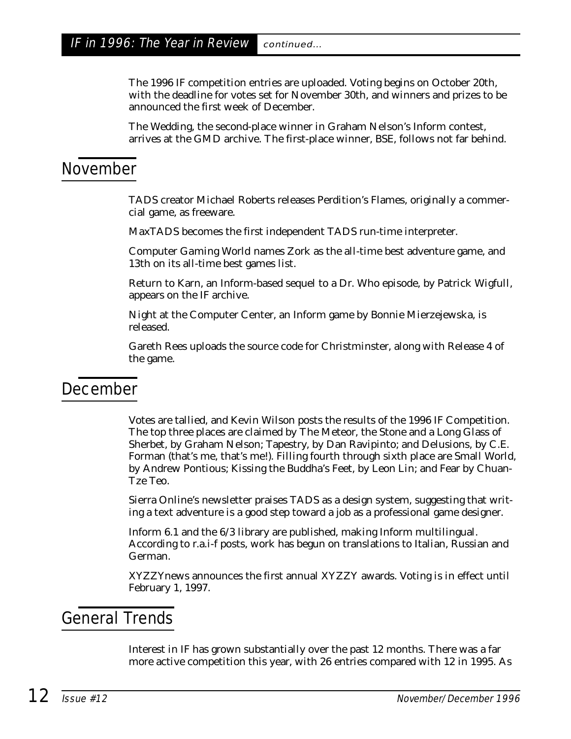The 1996 IF competition entries are uploaded. Voting begins on October 20th, with the deadline for votes set for November 30th, and winners and prizes to be announced the first week of December.

The Wedding, the second-place winner in Graham Nelson's Inform contest, arrives at the GMD archive. The first-place winner, BSE, follows not far behind.

## November

TADS creator Michael Roberts releases Perdition's Flames, originally a commercial game, as freeware.

MaxTADS becomes the first independent TADS run-time interpreter.

*Computer Gaming World* names Zork as the all-time best adventure game, and 13th on its all-time best games list.

Return to Karn, an Inform-based sequel to a Dr. Who episode, by Patrick Wigfull, appears on the IF archive.

Night at the Computer Center, an Inform game by Bonnie Mierzejewska, is released.

Gareth Rees uploads the source code for Christminster, along with Release 4 of the game.

### December

Votes are tallied, and Kevin Wilson posts the results of the 1996 IF Competition. The top three places are claimed by The Meteor, the Stone and a Long Glass of Sherbet, by Graham Nelson; Tapestry, by Dan Ravipinto; and Delusions, by C.E. Forman (that's me, that's me!). Filling fourth through sixth place are Small World, by Andrew Pontious; Kissing the Buddha's Feet, by Leon Lin; and Fear by Chuan-Tze Teo.

Sierra Online's newsletter praises TADS as a design system, suggesting that writing a text adventure is a good step toward a job as a professional game designer.

Inform 6.1 and the 6/3 library are published, making Inform multilingual. According to r.a.i-f posts, work has begun on translations to Italian, Russian and German.

*XYZZYnews* announces the first annual XYZZY awards. Voting is in effect until February 1, 1997.

## General Trends

Interest in IF has grown substantially over the past 12 months. There was a far more active competition this year, with 26 entries compared with 12 in 1995. As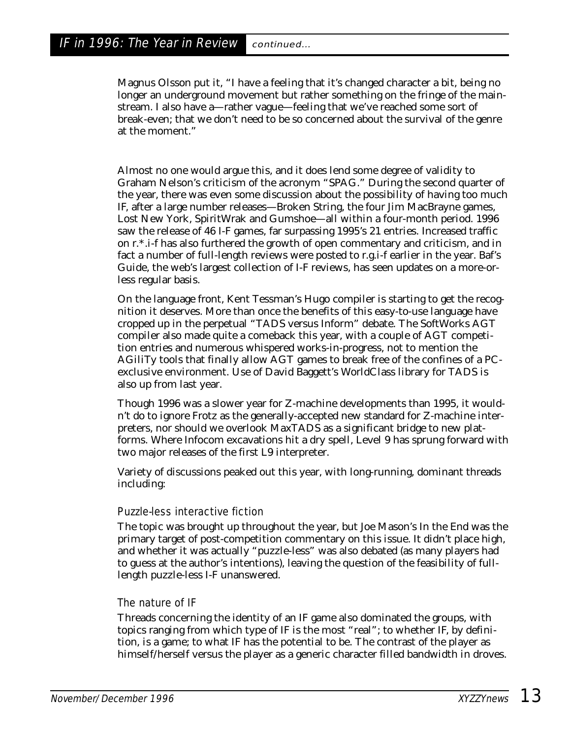Magnus Olsson put it, "I have a feeling that it's changed character a bit, being no longer an underground movement but rather something on the fringe of the mainstream. I also have a—rather vague—feeling that we've reached some sort of break-even; that we don't need to be so concerned about the survival of the genre at the moment."

Almost no one would argue this, and it does lend some degree of validity to Graham Nelson's criticism of the acronym "SPAG." During the second quarter of the year, there was even some discussion about the possibility of having too much IF, after a large number releases—Broken String, the four Jim MacBrayne games, Lost New York, SpiritWrak and Gumshoe—all within a four-month period. 1996 saw the release of 46 I-F games, far surpassing 1995's 21 entries. Increased traffic on r.\*.i-f has also furthered the growth of open commentary and criticism, and in fact a number of full-length reviews were posted to r.g.i-f earlier in the year. Baf's Guide, the web's largest collection of I-F reviews, has seen updates on a more-orless regular basis.

On the language front, Kent Tessman's Hugo compiler is starting to get the recognition it deserves. More than once the benefits of this easy-to-use language have cropped up in the perpetual "TADS versus Inform" debate. The SoftWorks AGT compiler also made quite a comeback this year, with a couple of AGT competition entries and numerous whispered works-in-progress, not to mention the AGiliTy tools that finally allow AGT games to break free of the confines of a PCexclusive environment. Use of David Baggett's WorldClass library for TADS is also up from last year.

Though 1996 was a slower year for Z-machine developments than 1995, it wouldn't do to ignore Frotz as the generally-accepted new standard for Z-machine interpreters, nor should we overlook MaxTADS as a significant bridge to new platforms. Where Infocom excavations hit a dry spell, Level 9 has sprung forward with two major releases of the first L9 interpreter.

Variety of discussions peaked out this year, with long-running, dominant threads including:

#### Puzzle-less interactive fiction

The topic was brought up throughout the year, but Joe Mason's In the End was the primary target of post-competition commentary on this issue. It didn't place high, and whether it was actually "puzzle-less" was also debated (as many players had to guess at the author's intentions), leaving the question of the feasibility of fulllength puzzle-less I-F unanswered.

#### The nature of IF

Threads concerning the identity of an IF game also dominated the groups, with topics ranging from which type of IF is the most "real"; to whether IF, by definition, is a game; to what IF has the potential to be. The contrast of the player as himself/herself versus the player as a generic character filled bandwidth in droves.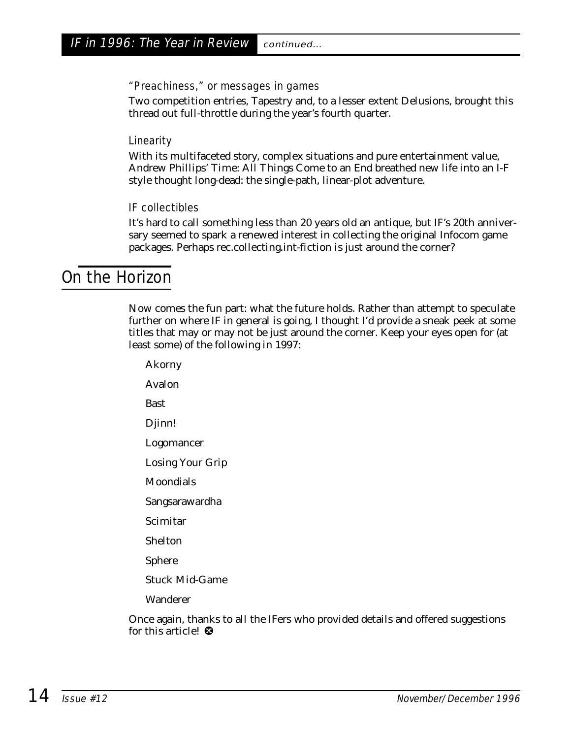#### "Preachiness," or messages in games

Two competition entries, Tapestry and, to a lesser extent Delusions, brought this thread out full-throttle during the year's fourth quarter.

#### **Linearity**

With its multifaceted story, complex situations and pure entertainment value, Andrew Phillips' Time: All Things Come to an End breathed new life into an I-F style thought long-dead: the single-path, linear-plot adventure.

#### IF collectibles

It's hard to call something less than 20 years old an antique, but IF's 20th anniversary seemed to spark a renewed interest in collecting the original Infocom game packages. Perhaps rec.collecting.int-fiction is just around the corner?

#### On the Horizon

Now comes the fun part: what the future holds. Rather than attempt to speculate further on where IF in general is going, I thought I'd provide a sneak peek at some titles that may or may not be just around the corner. Keep your eyes open for (at least some) of the following in 1997:

Akorny Avalon Bast Djinn! Logomancer Losing Your Grip Moondials Sangsarawardha Scimitar Shelton Sphere Stuck Mid-Game Wanderer

Once again, thanks to all the IFers who provided details and offered suggestions for this article!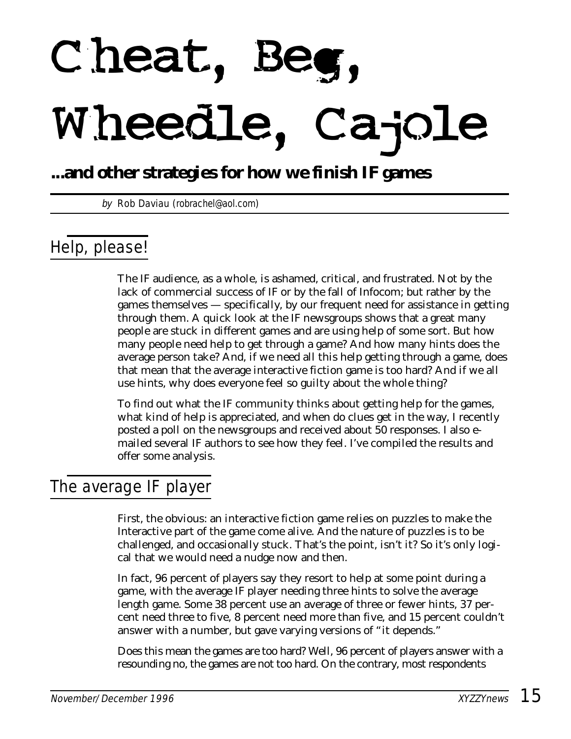# Cheat, Be Wheedle, Cajole

## **...and other strategies for how we finish IF games**

by Rob Daviau (robrachel@aol.com)

## Help, please!

The IF audience, as a whole, is ashamed, critical, and frustrated. Not by the lack of commercial success of IF or by the fall of Infocom; but rather by the games themselves — specifically, by our frequent need for assistance in getting through them. A quick look at the IF newsgroups shows that a great many people are stuck in different games and are using help of some sort. But how many people need help to get through a game? And how many hints does the average person take? And, if we need all this help getting through a game, does that mean that the average interactive fiction game is too hard? And if we all use hints, why does everyone feel so guilty about the whole thing?

To find out what the IF community thinks about getting help for the games, what kind of help is appreciated, and when do clues get in the way, I recently posted a poll on the newsgroups and received about 50 responses. I also emailed several IF authors to see how they feel. I've compiled the results and offer some analysis.

## The average IF player

First, the obvious: an interactive fiction game relies on puzzles to make the Interactive part of the game come alive. And the nature of puzzles is to be challenged, and occasionally stuck. That's the point, isn't it? So it's only logical that we would need a nudge now and then.

In fact, 96 percent of players say they resort to help at some point during a game, with the average IF player needing three hints to solve the average length game. Some 38 percent use an average of three or fewer hints, 37 percent need three to five, 8 percent need more than five, and 15 percent couldn't answer with a number, but gave varying versions of "it depends."

Does this mean the games are too hard? Well, 96 percent of players answer with a resounding no, the games are not too hard. On the contrary, most respondents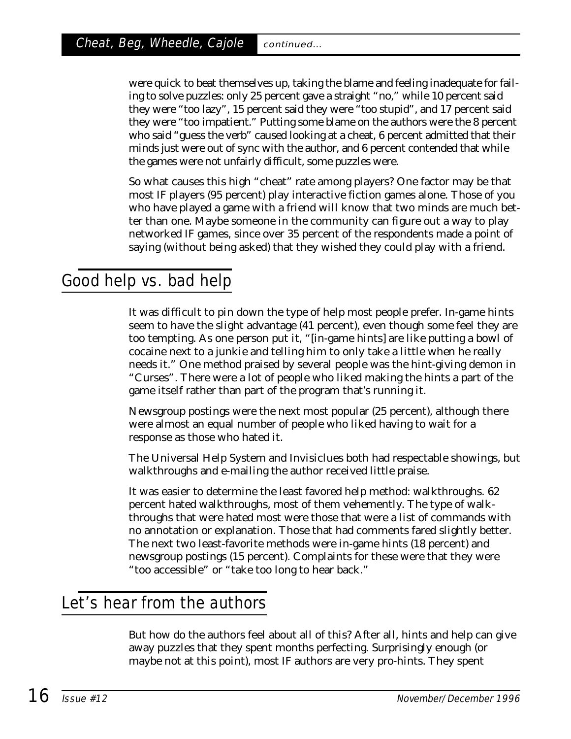were quick to beat themselves up, taking the blame and feeling inadequate for failing to solve puzzles: only 25 percent gave a straight "no," while 10 percent said they were "too lazy", 15 percent said they were "too stupid", and 17 percent said they were "too impatient." Putting some blame on the authors were the 8 percent who said "guess the verb" caused looking at a cheat, 6 percent admitted that their minds just were out of sync with the author, and 6 percent contended that while the games were not unfairly difficult, some puzzles were.

So what causes this high "cheat" rate among players? One factor may be that most IF players (95 percent) play interactive fiction games alone. Those of you who have played a game with a friend will know that two minds are much better than one. Maybe someone in the community can figure out a way to play networked IF games, since over 35 percent of the respondents made a point of saying (without being asked) that they wished they could play with a friend.

## Good help vs. bad help

It was difficult to pin down the type of help most people prefer. In-game hints seem to have the slight advantage (41 percent), even though some feel they are too tempting. As one person put it, "[in-game hints] are like putting a bowl of cocaine next to a junkie and telling him to only take a little when he really needs it." One method praised by several people was the hint-giving demon in "Curses". There were a lot of people who liked making the hints a part of the game itself rather than part of the program that's running it.

Newsgroup postings were the next most popular (25 percent), although there were almost an equal number of people who liked having to wait for a response as those who hated it.

The Universal Help System and Invisiclues both had respectable showings, but walkthroughs and e-mailing the author received little praise.

It was easier to determine the least favored help method: walkthroughs. 62 percent hated walkthroughs, most of them vehemently. The type of walkthroughs that were hated most were those that were a list of commands with no annotation or explanation. Those that had comments fared slightly better. The next two least-favorite methods were in-game hints (18 percent) and newsgroup postings (15 percent). Complaints for these were that they were "too accessible" or "take too long to hear back."

## Let's hear from the authors

But how do the authors feel about all of this? After all, hints and help can give away puzzles that they spent months perfecting. Surprisingly enough (or maybe not at this point), most IF authors are very pro-hints. They spent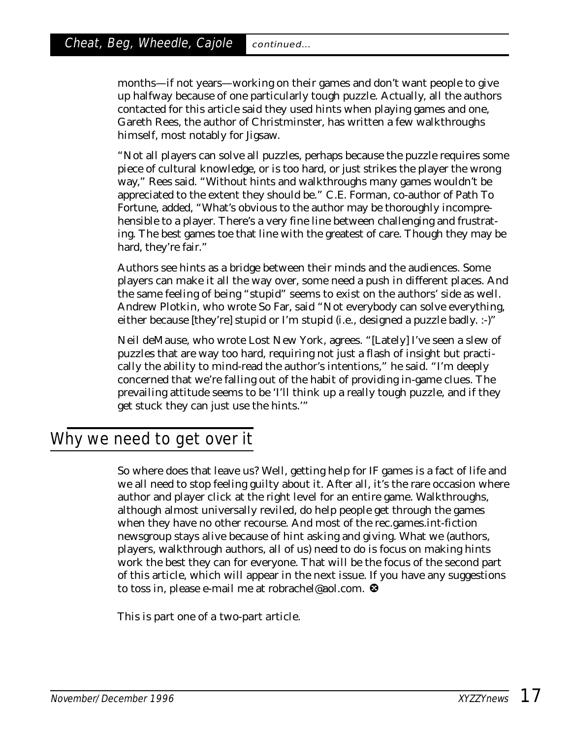months—if not years—working on their games and don't want people to give up halfway because of one particularly tough puzzle. Actually, all the authors contacted for this article said they used hints when playing games and one, Gareth Rees, the author of Christminster, has written a few walkthroughs himself, most notably for Jigsaw.

"Not all players can solve all puzzles, perhaps because the puzzle requires some piece of cultural knowledge, or is too hard, or just strikes the player the wrong way," Rees said. "Without hints and walkthroughs many games wouldn't be appreciated to the extent they should be." C.E. Forman, co-author of Path To Fortune, added, "What's obvious to the author may be thoroughly incomprehensible to a player. There's a very fine line between challenging and frustrating. The best games toe that line with the greatest of care. Though they may be hard, they're fair."

Authors see hints as a bridge between their minds and the audiences. Some players can make it all the way over, some need a push in different places. And the same feeling of being "stupid" seems to exist on the authors' side as well. Andrew Plotkin, who wrote So Far, said "Not everybody can solve everything, either because [they're] stupid or I'm stupid (i.e., designed a puzzle badly. :-)"

Neil deMause, who wrote Lost New York, agrees. "[Lately] I've seen a slew of puzzles that are way too hard, requiring not just a flash of insight but practically the ability to mind-read the author's intentions," he said. "I'm deeply concerned that we're falling out of the habit of providing in-game clues. The prevailing attitude seems to be 'I'll think up a really tough puzzle, and if they get stuck they can just use the hints.'"

## Why we need to get over it

So where does that leave us? Well, getting help for IF games is a fact of life and we all need to stop feeling guilty about it. After all, it's the rare occasion where author and player click at the right level for an entire game. Walkthroughs, although almost universally reviled, do help people get through the games when they have no other recourse. And most of the rec.games.int-fiction newsgroup stays alive because of hint asking and giving. What we (authors, players, walkthrough authors, all of us) need to do is focus on making hints work the best they can for everyone. That will be the focus of the second part of this article, which will appear in the next issue. If you have any suggestions to toss in, please e-mail me at robrachel@aol.com.

*This is part one of a two-part article.*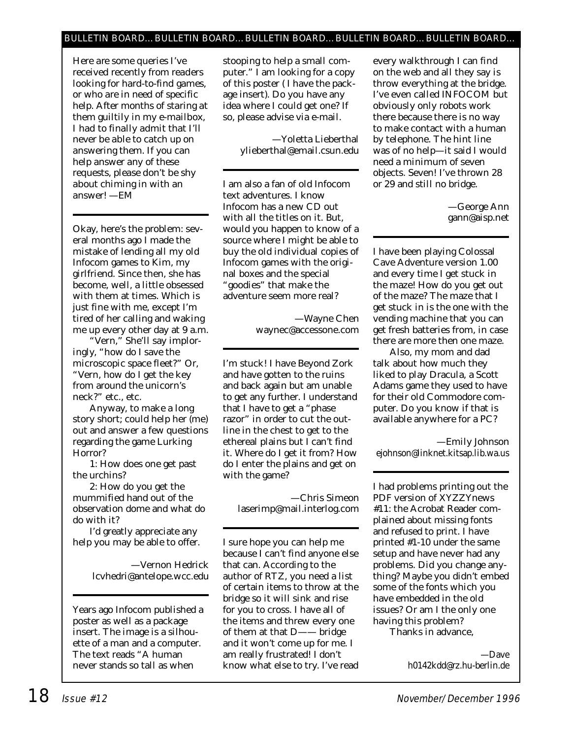#### BULLETIN BOARD…BULLETIN BOARD…BULLETIN BOARD…BULLETIN BOARD…BULLETIN BOARD…

*Here are some queries I've received recently from readers looking for hard-to-find games, or who are in need of specific help. After months of staring at them guiltily in my e-mailbox, I had to finally admit that I'll never be able to catch up on answering them. If you can help answer any of these requests, please don't be shy about chiming in with an answer! —EM*

Okay, here's the problem: several months ago I made the mistake of lending all my old Infocom games to Kim, my girlfriend. Since then, she has become, well, a little obsessed with them at times. Which is just fine with me, except I'm tired of her calling and waking me up every other day at 9 a.m.

"Vern," She'll say imploringly, "how do I save the microscopic space fleet?" Or, "Vern, how do I get the key from around the unicorn's neck?" etc., etc.

Anyway, to make a long story short; could help her (me) out and answer a few questions regarding the game Lurking Horror?

1: How does one get past the urchins?

2: How do you get the mummified hand out of the observation dome and what do do with it?

I'd greatly appreciate any help you may be able to offer.

> —Vernon Hedrick lcvhedri@antelope.wcc.edu

Years ago Infocom published a poster as well as a package insert. The image is a silhouette of a man and a computer. The text reads "A human never stands so tall as when

stooping to help a small computer." I am looking for a copy of this poster ( I have the package insert). Do you have any idea where I could get one? If so, please advise via e-mail.

> —Yoletta Lieberthal ylieberthal@email.csun.edu

I am also a fan of old Infocom text adventures. I know Infocom has a new CD out with all the titles on it. But, would you happen to know of a source where I might be able to buy the old individual copies of Infocom games with the original boxes and the special "goodies" that make the adventure seem more real?

> —Wayne Chen waynec@accessone.com

I'm stuck! I have Beyond Zork and have gotten to the ruins and back again but am unable to get any further. I understand that I have to get a "phase razor" in order to cut the outline in the chest to get to the ethereal plains but I can't find it. Where do I get it from? How do I enter the plains and get on with the game?

—Chris Simeon laserimp@mail.interlog.com

I sure hope you can help me because I can't find anyone else that can. According to the author of RTZ, you need a list of certain items to throw at the bridge so it will sink and rise for you to cross. I have all of the items and threw every one of them at that D—— bridge and it won't come up for me. I am really frustrated! I don't know what else to try. I've read every walkthrough I can find on the web and all they say is throw *everything* at the bridge. I've even called INFOCOM but obviously only robots work there because there is no way to make contact with a human by telephone. The hint line was of no help—it said I would need a minimum of seven objects. Seven! I've thrown 28 or 29 and still no bridge.

> —George Ann gann@aisp.net

I have been playing Colossal Cave Adventure version 1.00 and every time I get stuck in the maze! How do you get out of the maze? The maze that I get stuck in is the one with the vending machine that you can get fresh batteries from, in case there are more then one maze.

Also, my mom and dad talk about how much they liked to play Dracula, a Scott Adams game they used to have for their old Commodore computer. Do you know if that is available anywhere for a PC?

—Emily Johnson ejohnson@linknet.kitsap.lib.wa.us

I had problems printing out the PDF version of *XYZZYnews* #11: the Acrobat Reader complained about missing fonts and refused to print. I have printed #1-10 under the same setup and have never had any problems. Did you change anything? Maybe you didn't embed some of the fonts which you have embedded in the old issues? Or am I the only one having this problem?

Thanks in advance,

—Dave h0142kdd@rz.hu-berlin.de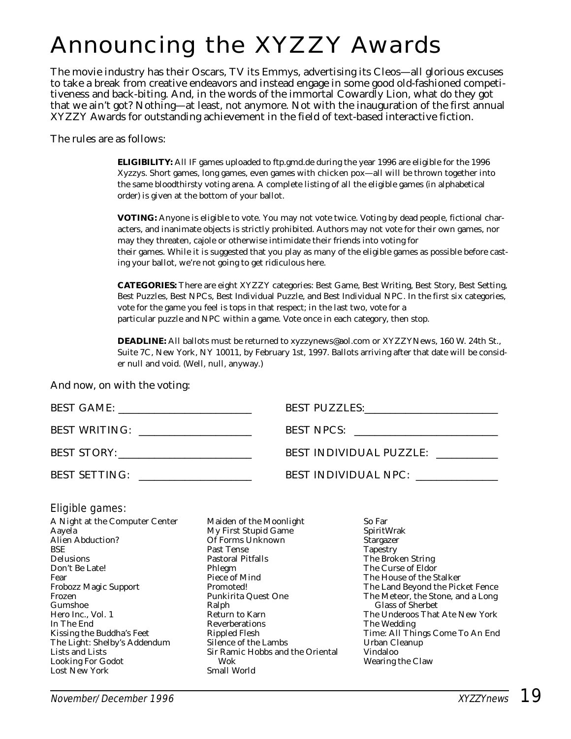# Announcing the XYZZY Awards

The movie industry has their Oscars, TV its Emmys, advertising its Cleos—all glorious excuses to take a break from creative endeavors and instead engage in some good old-fashioned competitiveness and back-biting. And, in the words of the immortal Cowardly Lion, what do they got that we ain't got? Nothing—at least, not anymore. Not with the inauguration of the first annual XYZZY Awards for outstanding achievement in the field of text-based interactive fiction.

The rules are as follows:

**ELIGIBILITY:** All IF games uploaded to ftp.gmd.de during the year 1996 are eligible for the 1996 Xyzzys. Short games, long games, even games with chicken pox—all will be thrown together into the same bloodthirsty voting arena. A complete listing of all the eligible games (in alphabetical order) is given at the bottom of your ballot.

**VOTING:** Anyone is eligible to vote. You may not vote twice. Voting by dead people, fictional characters, and inanimate objects is strictly prohibited. Authors may not vote for their own games, nor may they threaten, cajole or otherwise intimidate their friends into voting for their games. While it is suggested that you play as many of the eligible games as possible before casting your ballot, we're not going to get ridiculous here.

**CATEGORIES:** There are eight XYZZY categories: Best Game, Best Writing, Best Story, Best Setting, Best Puzzles, Best NPCs, Best Individual Puzzle, and Best Individual NPC. In the first six categories, vote for the game you feel is tops in that respect; in the last two, vote for a particular puzzle and NPC within a game. Vote once in each category, then stop.

**DEADLINE:** All ballots must be returned to xyzzynews@aol.com or XYZZYNews, 160 W. 24th St., Suite 7C, New York, NY 10011, by February 1st, 1997. Ballots arriving after that date will be consider null and void. (Well, null, anyway.)

And now, on with the voting:

|                      | BEST PUZZLES: VERETTEL  |
|----------------------|-------------------------|
| <b>BEST WRITING:</b> | BEST NPCS:              |
| BEST STORY:          | BEST INDIVIDUAL PUZZLE: |
| <b>BEST SETTING:</b> | BEST INDIVIDUAL NPC:    |

#### Eligible games:

A Night at the Computer Center Aayela Alien Abduction? **BSE** Delusions Don't Be Late! Fear Frobozz Magic Support Frozen Gumshoe Hero Inc., Vol. 1 In The End Kissing the Buddha's Feet The Light: Shelby's Addendum Lists and Lists Looking For Godot Lost New York

Maiden of the Moonlight My First Stupid Game Of Forms Unknown Past Tense Pastoral Pitfalls Phlegm Piece of Mind Promoted! Punkirita Quest One Ralph Return to Karn Reverberations Rippled Flesh Silence of the Lambs Sir Ramic Hobbs and the Oriental Wok Small World

So Far SpiritWrak **Stargazer Tapestry** The Broken String The Curse of Eldor The House of the Stalker The Land Beyond the Picket Fence The Meteor, the Stone, and a Long Glass of Sherbet The Underoos That Ate New York The Wedding Time: All Things Come To An End Urban Cleanup Vindaloo Wearing the Claw